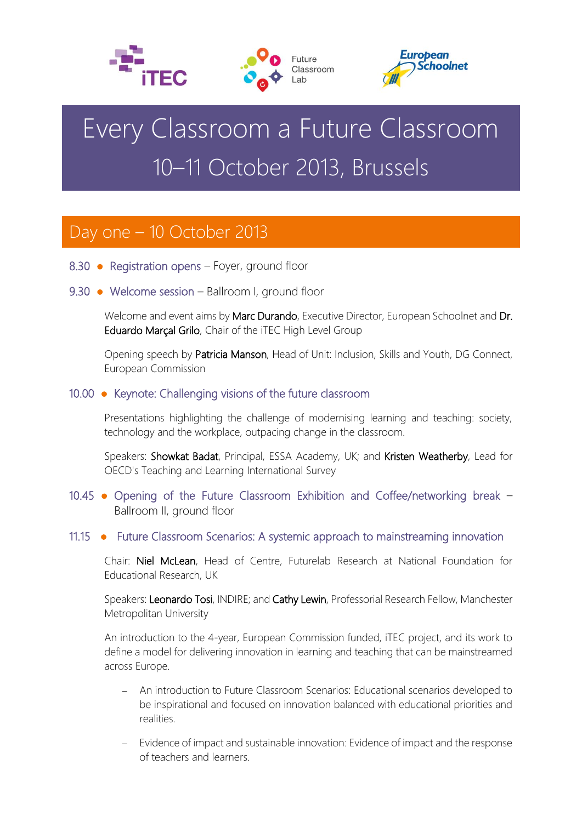





# Every Classroom a Future Classroom 10–11 October 2013, Brussels

# Day one – 10 October 2013

- 8.30 Registration opens Foyer, ground floor
- 9.30 Welcome session Ballroom I, ground floor

Welcome and event aims by Marc Durando, Executive Director, European Schoolnet and Dr. Eduardo Marçal Grilo, Chair of the iTEC High Level Group

Opening speech by Patricia Manson, Head of Unit: Inclusion, Skills and Youth, DG Connect, European Commission

# 10.00 ● Keynote: Challenging visions of the future classroom

Presentations highlighting the challenge of modernising learning and teaching: society, technology and the workplace, outpacing change in the classroom.

Speakers: Showkat Badat, Principal, ESSA Academy, UK; and Kristen Weatherby, Lead for OECD's Teaching and Learning International Survey

# 10.45 ● Opening of the Future Classroom Exhibition and Coffee/networking break – Ballroom II, ground floor

## 11.15 ● Future Classroom Scenarios: A systemic approach to mainstreaming innovation

Chair: Niel McLean, Head of Centre, Futurelab Research at National Foundation for Educational Research, UK

Speakers: Leonardo Tosi, INDIRE; and Cathy Lewin, Professorial Research Fellow, Manchester Metropolitan University

An introduction to the 4-year, European Commission funded, iTEC project, and its work to define a model for delivering innovation in learning and teaching that can be mainstreamed across Europe.

- An introduction to Future Classroom Scenarios: Educational scenarios developed to be inspirational and focused on innovation balanced with educational priorities and realities.
- Evidence of impact and sustainable innovation: Evidence of impact and the response of teachers and learners.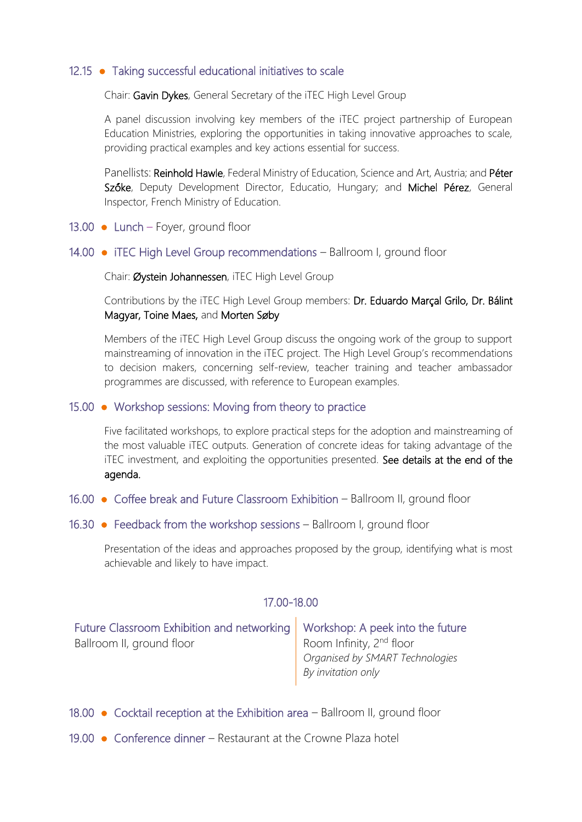# 12.15 ● Taking successful educational initiatives to scale

Chair: Gavin Dykes, General Secretary of the iTEC High Level Group

A panel discussion involving key members of the iTEC project partnership of European Education Ministries, exploring the opportunities in taking innovative approaches to scale, providing practical examples and key actions essential for success.

Panellists: Reinhold Hawle, Federal Ministry of Education, Science and Art, Austria; and Péter Szőke, Deputy Development Director, Educatio, Hungary; and Michel Pérez, General Inspector, French Ministry of Education.

- 13.00 Lunch Foyer, ground floor
- 14.00 iTEC High Level Group recommendations Ballroom I, ground floor

Chair: Øystein Johannessen, iTEC High Level Group

Contributions by the iTEC High Level Group members: Dr. Eduardo Marçal Grilo, Dr. Bálint Magyar, Toine Maes, and Morten Søby

Members of the iTEC High Level Group discuss the ongoing work of the group to support mainstreaming of innovation in the iTEC project. The High Level Group's recommendations to decision makers, concerning self-review, teacher training and teacher ambassador programmes are discussed, with reference to European examples.

#### 15.00 ● Workshop sessions: Moving from theory to practice

Five facilitated workshops, to explore practical steps for the adoption and mainstreaming of the most valuable iTEC outputs. Generation of concrete ideas for taking advantage of the iTEC investment, and exploiting the opportunities presented. See details at the end of the agenda.

- 16.00 Coffee break and Future Classroom Exhibition Ballroom II, ground floor
- 16.30 Feedback from the workshop sessions Ballroom I, ground floor

Presentation of the ideas and approaches proposed by the group, identifying what is most achievable and likely to have impact.

## 17.00-18.00

| Future Classroom Exhibition and networking   Workshop: A peek into the future |                                 |
|-------------------------------------------------------------------------------|---------------------------------|
| Ballroom II, ground floor                                                     | Room Infinity, $2^{nd}$ floor   |
|                                                                               | Organised by SMART Technologies |
|                                                                               | By invitation only              |

- 18.00 Cocktail reception at the Exhibition area Ballroom II, ground floor
- 19.00 Conference dinner Restaurant at the Crowne Plaza hotel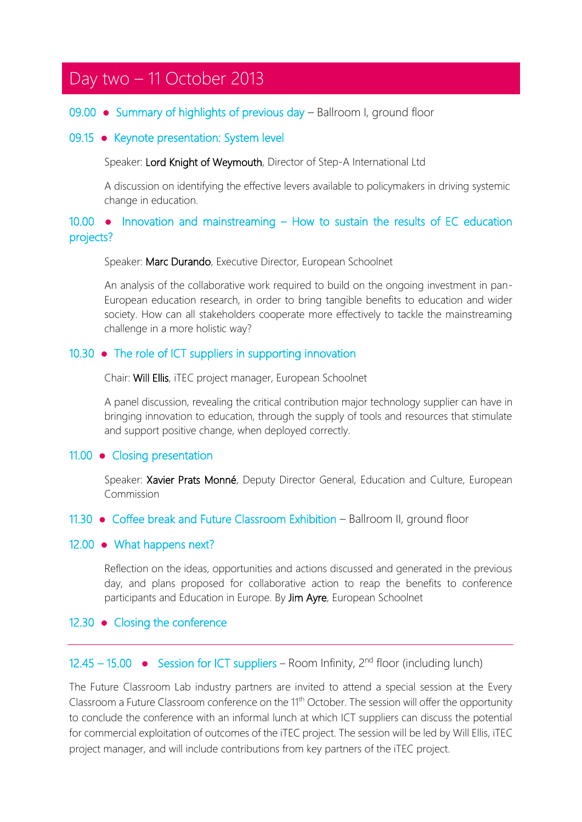# Day two – 11 October 2013

#### 09.00 ● Summary of highlights of previous day – Ballroom I, ground floor

#### 09.15 ● Keynote presentation: System level

Speaker: Lord Knight of Weymouth, Director of Step-A International Ltd

A discussion on identifying the effective levers available to policymakers in driving systemic change in education.

# 10.00 ● Innovation and mainstreaming – How to sustain the results of EC education projects?

Speaker: Marc Durando, Executive Director, European Schoolnet

An analysis of the collaborative work required to build on the ongoing investment in pan-European education research, in order to bring tangible benefits to education and wider society. How can all stakeholders cooperate more effectively to tackle the mainstreaming challenge in a more holistic way?

#### 10.30 ● The role of ICT suppliers in supporting innovation

Chair: Will Ellis, iTEC project manager, European Schoolnet

A panel discussion, revealing the critical contribution major technology supplier can have in bringing innovation to education, through the supply of tools and resources that stimulate and support positive change, when deployed correctly.

#### 11.00 ● Closing presentation

Speaker: Xavier Prats Monné, Deputy Director General, Education and Culture, European Commission

11.30 ● Coffee break and Future Classroom Exhibition – Ballroom II, ground floor

#### 12.00 • What happens next?

Reflection on the ideas, opportunities and actions discussed and generated in the previous day, and plans proposed for collaborative action to reap the benefits to conference participants and Education in Europe. By Jim Ayre, European Schoolnet

#### 12.30 ● Closing the conference

# 12.45 – 15.00  $\bullet$  Session for ICT suppliers – Room Infinity,  $2<sup>nd</sup>$  floor (including lunch)

The Future Classroom Lab industry partners are invited to attend a special session at the Every Classroom a Future Classroom conference on the 11<sup>th</sup> October. The session will offer the opportunity to conclude the conference with an informal lunch at which ICT suppliers can discuss the potential for commercial exploitation of outcomes of the iTEC project. The session will be led by Will Ellis, iTEC project manager, and will include contributions from key partners of the iTEC project.